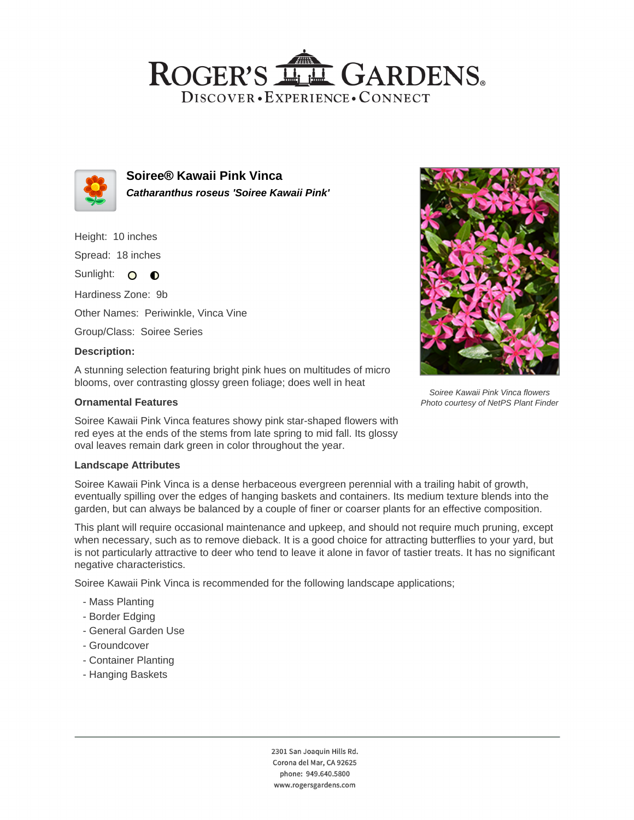# ROGER'S LL GARDENS. DISCOVER · EXPERIENCE · CONNECT



**Soiree® Kawaii Pink Vinca Catharanthus roseus 'Soiree Kawaii Pink'**

Height: 10 inches Spread: 18 inches Sunlight: O **O** 

Hardiness Zone: 9b

Other Names: Periwinkle, Vinca Vine

Group/Class: Soiree Series

### **Description:**

A stunning selection featuring bright pink hues on multitudes of micro blooms, over contrasting glossy green foliage; does well in heat

### **Ornamental Features**

Soiree Kawaii Pink Vinca features showy pink star-shaped flowers with red eyes at the ends of the stems from late spring to mid fall. Its glossy oval leaves remain dark green in color throughout the year.

#### **Landscape Attributes**

Soiree Kawaii Pink Vinca is a dense herbaceous evergreen perennial with a trailing habit of growth, eventually spilling over the edges of hanging baskets and containers. Its medium texture blends into the garden, but can always be balanced by a couple of finer or coarser plants for an effective composition.

This plant will require occasional maintenance and upkeep, and should not require much pruning, except when necessary, such as to remove dieback. It is a good choice for attracting butterflies to your yard, but is not particularly attractive to deer who tend to leave it alone in favor of tastier treats. It has no significant negative characteristics.

Soiree Kawaii Pink Vinca is recommended for the following landscape applications;

- Mass Planting
- Border Edging
- General Garden Use
- Groundcover
- Container Planting
- Hanging Baskets

2301 San Joaquin Hills Rd. Corona del Mar, CA 92625 phone: 949.640.5800 www.rogersgardens.com



Soiree Kawaii Pink Vinca flowers Photo courtesy of NetPS Plant Finder